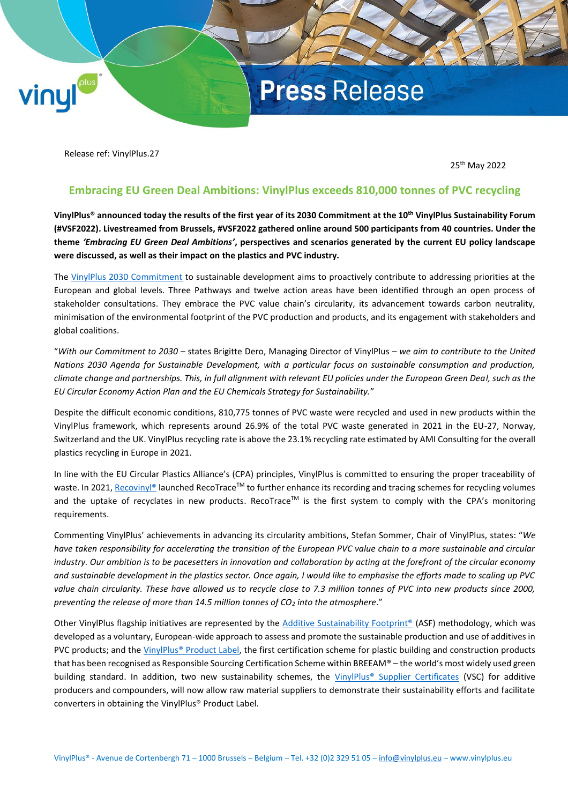## **Press Release**

Release ref: VinylPlus.27

vinul

25th May 2022

### **Embracing EU Green Deal Ambitions: VinylPlus exceeds 810,000 tonnes of PVC recycling**

**VinylPlus® announced today the results of the first year of its 2030 Commitment at the 10th VinylPlus Sustainability Forum (#VSF2022). Livestreamed from Brussels, #VSF2022 gathered online around 500 participants from 40 countries. Under the theme** *'Embracing EU Green Deal Ambitions'***, perspectives and scenarios generated by the current EU policy landscape were discussed, as well as their impact on the plastics and PVC industry.**

The [VinylPlus 2030 Commitment](https://www.vinylplus.eu/about-us/vinylplus-2030-commitment/) to sustainable development aims to proactively contribute to addressing priorities at the European and global levels. Three Pathways and twelve action areas have been identified through an open process of stakeholder consultations. They embrace the PVC value chain's circularity, its advancement towards carbon neutrality, minimisation of the environmental footprint of the PVC production and products, and its engagement with stakeholders and global coalitions.

"*With our Commitment to 2030* – states Brigitte Dero, Managing Director of VinylPlus – *we aim to contribute to the United Nations 2030 Agenda for Sustainable Development, with a particular focus on sustainable consumption and production, climate change and partnerships. This, in full alignment with relevant EU policies under the European Green Deal, such as the EU Circular Economy Action Plan and the EU Chemicals Strategy for Sustainability.*"

Despite the difficult economic conditions, 810,775 tonnes of PVC waste were recycled and used in new products within the VinylPlus framework, which represents around 26.9% of the total PVC waste generated in 2021 in the EU-27, Norway, Switzerland and the UK. VinylPlus recycling rate is above the 23.1% recycling rate estimated by AMI Consulting for the overall plastics recycling in Europe in 2021.

In line with the EU Circular Plastics Alliance's (CPA) principles, VinylPlus is committed to ensuring the proper traceability of waste. In 2021[, Recovinyl®](https://www.recovinyl.com/) launched RecoTrace™ to further enhance its recording and tracing schemes for recycling volumes and the uptake of recyclates in new products. RecoTrace™ is the first system to comply with the CPA's monitoring requirements.

Commenting VinylPlus' achievements in advancing its circularity ambitions, Stefan Sommer, Chair of VinylPlus, states: "*We have taken responsibility for accelerating the transition of the European PVC value chain to a more sustainable and circular industry. Our ambition is to be pacesetters in innovation and collaboration by acting at the forefront of the circular economy and sustainable development in the plastics sector. Once again, I would like to emphasise the efforts made to scaling up PVC value chain circularity. These have allowed us to recycle close to 7.3 million tonnes of PVC into new products since 2000, preventing the release of more than 14.5 million tonnes of CO<sup>2</sup> into the atmosphere*."

Other VinylPlus flagship initiatives are represented by the [Additive Sustainability Footprint®](https://www.vinylplus.eu/sustainability/our-contribution-to-sustainability/additive-sustainability-footprint/) (ASF) methodology, which was developed as a voluntary, European-wide approach to assess and promote the sustainable production and use of additives in PVC products; and the [VinylPlus® Product Label,](https://productlabel.vinylplus.eu/) the first certification scheme for plastic building and construction products that has been recognised as Responsible Sourcing Certification Scheme within BREEAM® – the world's most widely used green building standard. In addition, two new sustainability schemes, the [VinylPlus® Supplier Certificates](https://productlabel.vinylplus.eu/vinylplus-supplier-certificates/) (VSC) for additive producers and compounders, will now allow raw material suppliers to demonstrate their sustainability efforts and facilitate converters in obtaining the VinylPlus® Product Label.